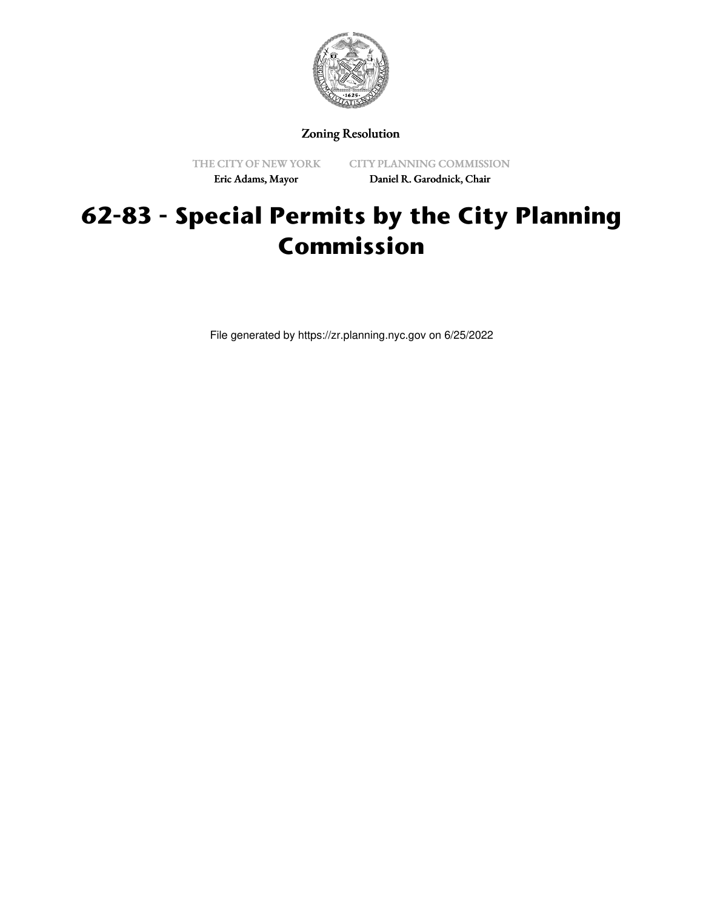

## Zoning Resolution

THE CITY OF NEW YORK Eric Adams, Mayor

CITY PLANNING COMMISSION Daniel R. Garodnick, Chair

# **62-83 - Special Permits by the City Planning Commission**

File generated by https://zr.planning.nyc.gov on 6/25/2022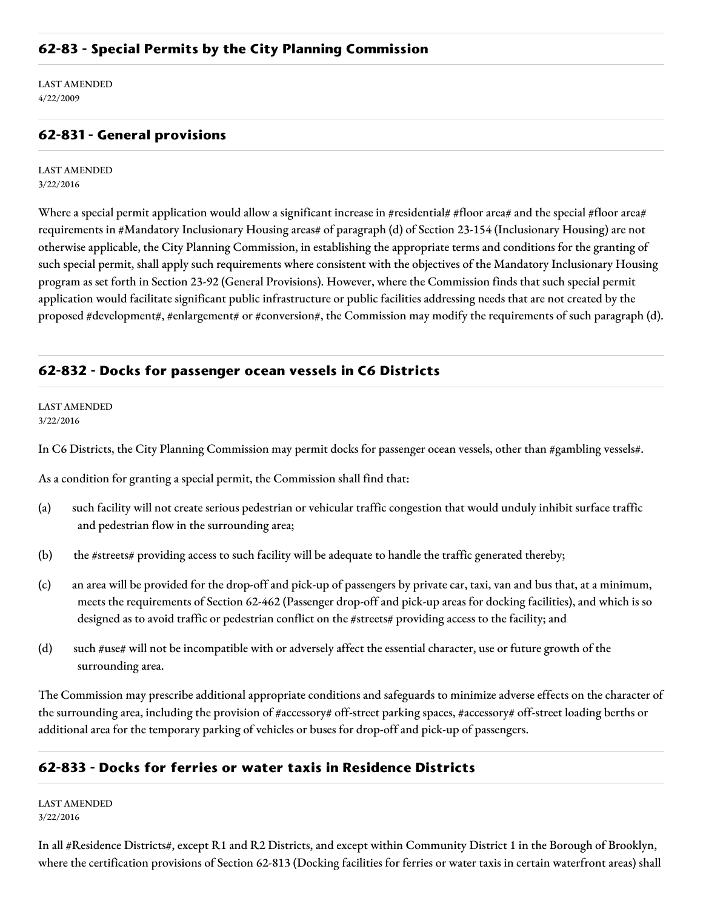LAST AMENDED 4/22/2009

## **62-831 - General provisions**

LAST AMENDED 3/22/2016

Where a special permit application would allow a significant increase in #residential# #floor area# and the special #floor area# requirements in #Mandatory Inclusionary Housing areas# of paragraph (d) of Section 23-154 (Inclusionary Housing) are not otherwise applicable, the City Planning Commission, in establishing the appropriate terms and conditions for the granting of such special permit, shall apply such requirements where consistent with the objectives of the Mandatory Inclusionary Housing program as set forth in Section 23-92 (General Provisions). However, where the Commission finds that such special permit application would facilitate significant public infrastructure or public facilities addressing needs that are not created by the proposed #development#, #enlargement# or #conversion#, the Commission may modify the requirements of such paragraph (d).

## **62-832 - Docks for passenger ocean vessels in C6 Districts**

LAST AMENDED 3/22/2016

In C6 Districts, the City Planning Commission may permit docks for passenger ocean vessels, other than #gambling vessels#.

As a condition for granting a special permit, the Commission shall find that:

- (a) such facility will not create serious pedestrian or vehicular traffic congestion that would unduly inhibit surface traffic and pedestrian flow in the surrounding area;
- (b) the #streets# providing access to such facility will be adequate to handle the traffic generated thereby;
- (c) an area will be provided for the drop-off and pick-up of passengers by private car, taxi, van and bus that, at a minimum, meets the requirements of Section 62-462 (Passenger drop-off and pick-up areas for docking facilities), and which is so designed as to avoid traffic or pedestrian conflict on the #streets# providing access to the facility; and
- (d) such #use# will not be incompatible with or adversely affect the essential character, use or future growth of the surrounding area.

The Commission may prescribe additional appropriate conditions and safeguards to minimize adverse effects on the character of the surrounding area, including the provision of #accessory# off-street parking spaces, #accessory# off-street loading berths or additional area for the temporary parking of vehicles or buses for drop-off and pick-up of passengers.

### **62-833 - Docks for ferries or water taxis in Residence Districts**

LAST AMENDED 3/22/2016

In all #Residence Districts#, except R1 and R2 Districts, and except within Community District 1 in the Borough of Brooklyn, where the certification provisions of Section 62-813 (Docking facilities for ferries or water taxis in certain waterfront areas) shall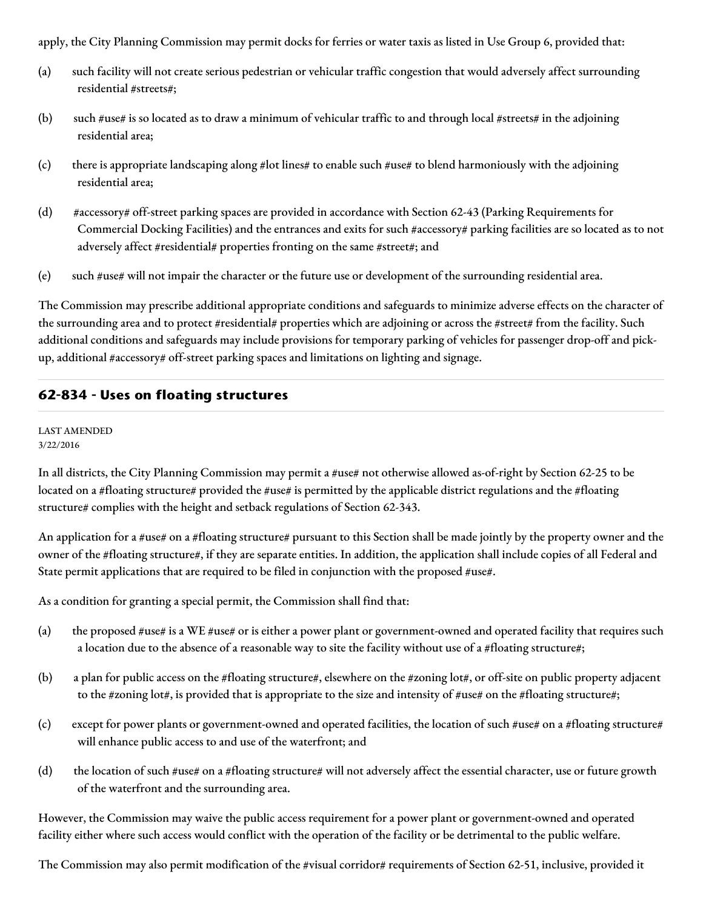apply, the City Planning Commission may permit docks for ferries or water taxis as listed in Use Group 6, provided that:

- (a) such facility will not create serious pedestrian or vehicular traffic congestion that would adversely affect surrounding residential #streets#;
- (b) such #use# is so located as to draw a minimum of vehicular traffic to and through local #streets# in the adjoining residential area;
- (c) there is appropriate landscaping along #lot lines# to enable such #use# to blend harmoniously with the adjoining residential area;
- (d) #accessory# off-street parking spaces are provided in accordance with Section 62-43 (Parking Requirements for Commercial Docking Facilities) and the entrances and exits for such #accessory# parking facilities are so located as to not adversely affect #residential# properties fronting on the same #street#; and
- (e) such #use# will not impair the character or the future use or development of the surrounding residential area.

The Commission may prescribe additional appropriate conditions and safeguards to minimize adverse effects on the character of the surrounding area and to protect #residential# properties which are adjoining or across the #street# from the facility. Such additional conditions and safeguards may include provisions for temporary parking of vehicles for passenger drop-off and pickup, additional #accessory# off-street parking spaces and limitations on lighting and signage.

## **62-834 - Uses on floating structures**

#### LAST AMENDED 3/22/2016

In all districts, the City Planning Commission may permit a #use# not otherwise allowed as-of-right by Section 62-25 to be located on a #floating structure# provided the #use# is permitted by the applicable district regulations and the #floating structure# complies with the height and setback regulations of Section 62-343.

An application for a #use# on a #floating structure# pursuant to this Section shall be made jointly by the property owner and the owner of the #floating structure#, if they are separate entities. In addition, the application shall include copies of all Federal and State permit applications that are required to be filed in conjunction with the proposed #use#.

As a condition for granting a special permit, the Commission shall find that:

- (a) the proposed #use# is a WE #use# or is either a power plant or government-owned and operated facility that requires such a location due to the absence of a reasonable way to site the facility without use of a #floating structure#;
- (b) a plan for public access on the #floating structure#, elsewhere on the #zoning lot#, or off-site on public property adjacent to the #zoning lot#, is provided that is appropriate to the size and intensity of #use# on the #floating structure#;
- (c) except for power plants or government-owned and operated facilities, the location of such #use# on a #floating structure# will enhance public access to and use of the waterfront; and
- (d) the location of such #use# on a #floating structure# will not adversely affect the essential character, use or future growth of the waterfront and the surrounding area.

However, the Commission may waive the public access requirement for a power plant or government-owned and operated facility either where such access would conflict with the operation of the facility or be detrimental to the public welfare.

The Commission may also permit modification of the #visual corridor# requirements of Section 62-51, inclusive, provided it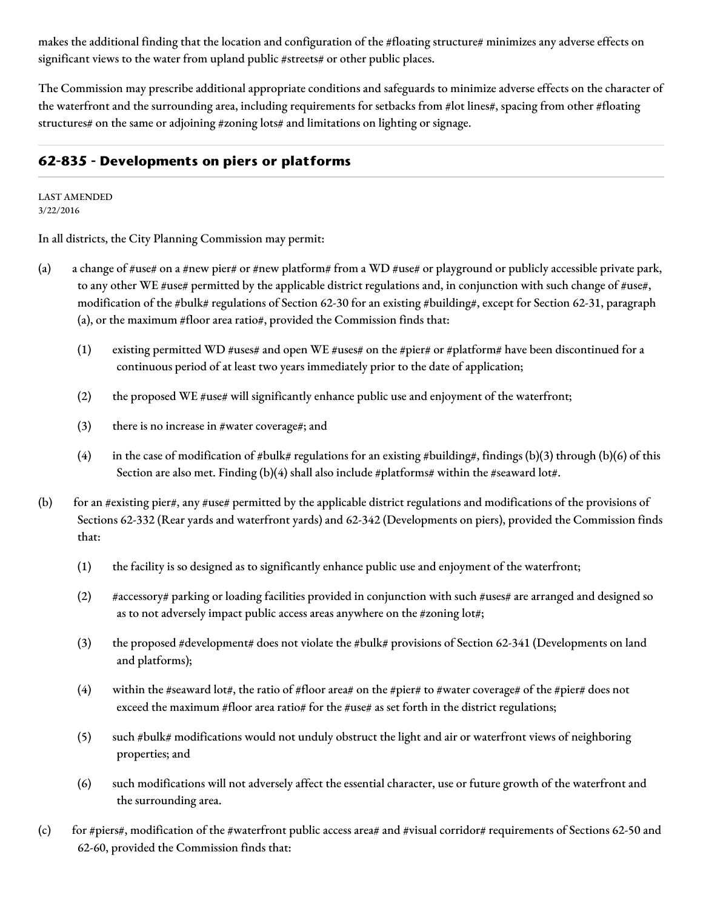makes the additional finding that the location and configuration of the #floating structure# minimizes any adverse effects on significant views to the water from upland public #streets# or other public places.

The Commission may prescribe additional appropriate conditions and safeguards to minimize adverse effects on the character of the waterfront and the surrounding area, including requirements for setbacks from #lot lines#, spacing from other #floating structures# on the same or adjoining #zoning lots# and limitations on lighting or signage.

## **62-835 - Developments on piers or platforms**

LAST AMENDED 3/22/2016

In all districts, the City Planning Commission may permit:

- (a) a change of #use# on a #new pier# or #new platform# from a WD #use# or playground or publicly accessible private park, to any other WE #use# permitted by the applicable district regulations and, in conjunction with such change of #use#, modification of the #bulk# regulations of Section 62-30 for an existing #building#, except for Section 62-31, paragraph (a), or the maximum #floor area ratio#, provided the Commission finds that:
	- (1) existing permitted WD #uses# and open WE #uses# on the #pier# or #platform# have been discontinued for a continuous period of at least two years immediately prior to the date of application;
	- (2) the proposed WE  $\#$ use $\#$  will significantly enhance public use and enjoyment of the waterfront;
	- (3) there is no increase in #water coverage#; and
	- (4) in the case of modification of #bulk# regulations for an existing #building#, findings (b)(3) through (b)(6) of this Section are also met. Finding (b)(4) shall also include #platforms# within the #seaward lot#.
- (b) for an  $\#$ existing pier $\#$ , any  $\#$ use $\#$  permitted by the applicable district regulations and modifications of the provisions of Sections 62-332 (Rear yards and waterfront yards) and 62-342 (Developments on piers), provided the Commission finds that:
	- (1) the facility is so designed as to significantly enhance public use and enjoyment of the waterfront;
	- (2) #accessory# parking or loading facilities provided in conjunction with such #uses# are arranged and designed so as to not adversely impact public access areas anywhere on the #zoning lot#;
	- (3) the proposed #development# does not violate the #bulk# provisions of Section 62-341 (Developments on land and platforms);
	- (4) within the #seaward lot#, the ratio of #floor area# on the #pier# to #water coverage# of the #pier# does not exceed the maximum #floor area ratio# for the #use# as set forth in the district regulations;
	- (5) such #bulk# modifications would not unduly obstruct the light and air or waterfront views of neighboring properties; and
	- (6) such modifications will not adversely affect the essential character, use or future growth of the waterfront and the surrounding area.
- (c) for #piers#, modification of the #waterfront public access area# and #visual corridor# requirements of Sections 62-50 and 62-60, provided the Commission finds that: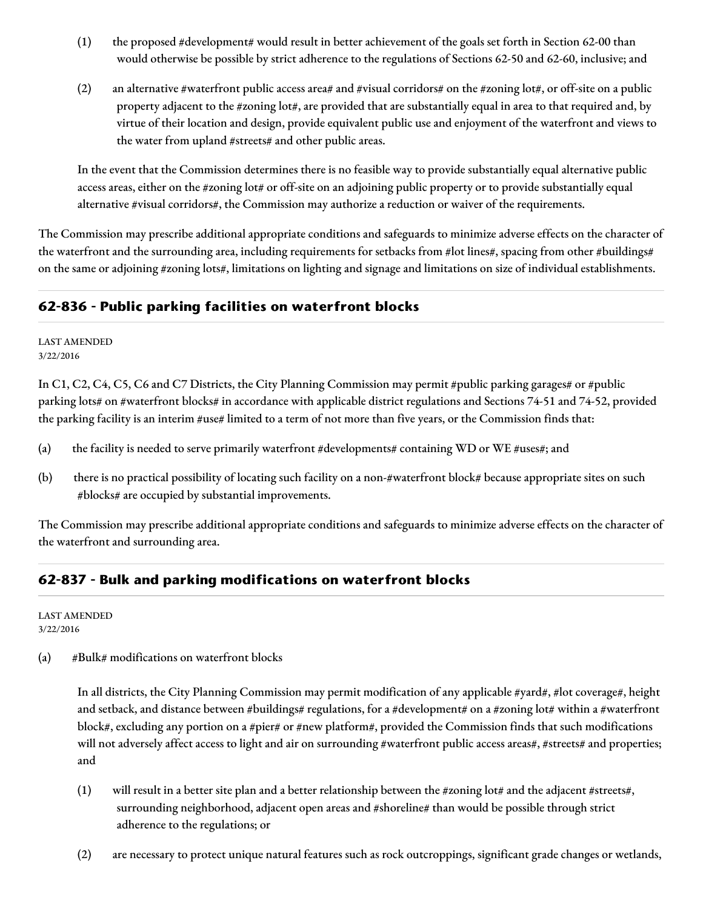- (1) the proposed #development# would result in better achievement of the goals set forth in Section 62-00 than would otherwise be possible by strict adherence to the regulations of Sections 62-50 and 62-60, inclusive; and
- (2) an alternative #waterfront public access area# and #visual corridors# on the #zoning lot#, or off-site on a public property adjacent to the #zoning lot#, are provided that are substantially equal in area to that required and, by virtue of their location and design, provide equivalent public use and enjoyment of the waterfront and views to the water from upland #streets# and other public areas.

In the event that the Commission determines there is no feasible way to provide substantially equal alternative public access areas, either on the #zoning lot# or off-site on an adjoining public property or to provide substantially equal alternative #visual corridors#, the Commission may authorize a reduction or waiver of the requirements.

The Commission may prescribe additional appropriate conditions and safeguards to minimize adverse effects on the character of the waterfront and the surrounding area, including requirements for setbacks from #lot lines#, spacing from other #buildings# on the same or adjoining #zoning lots#, limitations on lighting and signage and limitations on size of individual establishments.

## **62-836 - Public parking facilities on waterfront blocks**

LAST AMENDED 3/22/2016

In C1, C2, C4, C5, C6 and C7 Districts, the City Planning Commission may permit #public parking garages# or #public parking lots# on #waterfront blocks# in accordance with applicable district regulations and Sections 74-51 and 74-52, provided the parking facility is an interim #use# limited to a term of not more than five years, or the Commission finds that:

- (a) the facility is needed to serve primarily waterfront #developments# containing WD or WE #uses#; and
- (b) there is no practical possibility of locating such facility on a non-#waterfront block# because appropriate sites on such #blocks# are occupied by substantial improvements.

The Commission may prescribe additional appropriate conditions and safeguards to minimize adverse effects on the character of the waterfront and surrounding area.

# **62-837 - Bulk and parking modifications on waterfront blocks**

LAST AMENDED 3/22/2016

(a) #Bulk# modifications on waterfront blocks

In all districts, the City Planning Commission may permit modification of any applicable #yard#, #lot coverage#, height and setback, and distance between #buildings# regulations, for a #development# on a #zoning lot# within a #waterfront block#, excluding any portion on a #pier# or #new platform#, provided the Commission finds that such modifications will not adversely affect access to light and air on surrounding #waterfront public access areas#, #streets# and properties; and

- (1) will result in a better site plan and a better relationship between the #zoning lot# and the adjacent #streets#, surrounding neighborhood, adjacent open areas and #shoreline# than would be possible through strict adherence to the regulations; or
- (2) are necessary to protect unique natural features such as rock outcroppings, significant grade changes or wetlands,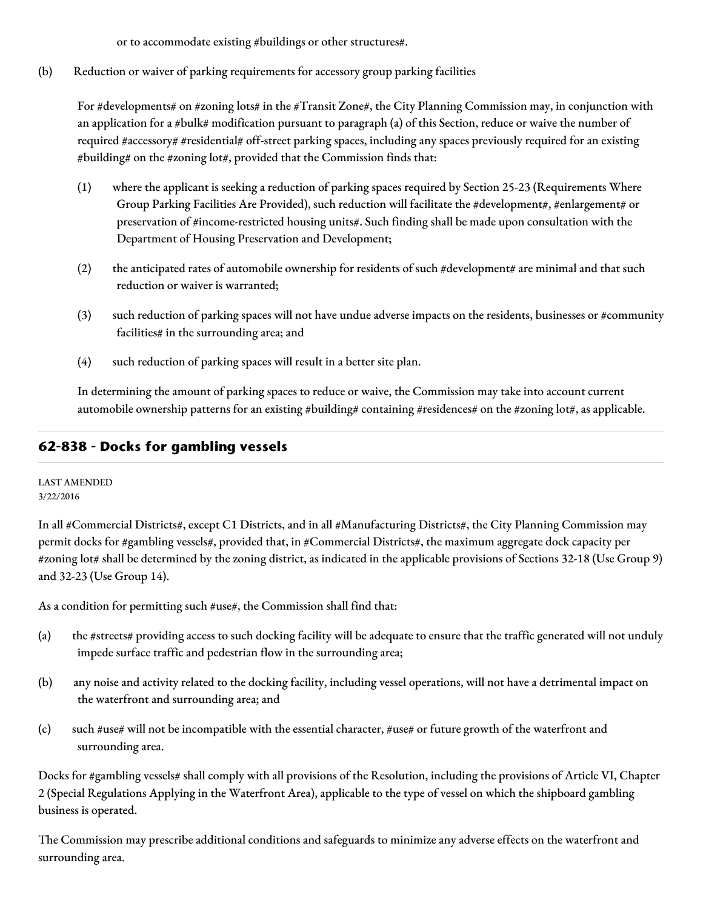or to accommodate existing #buildings or other structures#.

(b) Reduction or waiver of parking requirements for accessory group parking facilities

For #developments# on #zoning lots# in the #Transit Zone#, the City Planning Commission may, in conjunction with an application for a #bulk# modification pursuant to paragraph (a) of this Section, reduce or waive the number of required #accessory# #residential# off-street parking spaces, including any spaces previously required for an existing #building# on the #zoning lot#, provided that the Commission finds that:

- (1) where the applicant is seeking a reduction of parking spaces required by Section 25-23 (Requirements Where Group Parking Facilities Are Provided), such reduction will facilitate the #development#, #enlargement# or preservation of #income-restricted housing units#. Such finding shall be made upon consultation with the Department of Housing Preservation and Development;
- (2) the anticipated rates of automobile ownership for residents of such #development# are minimal and that such reduction or waiver is warranted;
- (3) such reduction of parking spaces will not have undue adverse impacts on the residents, businesses or #community facilities# in the surrounding area; and
- (4) such reduction of parking spaces will result in a better site plan.

In determining the amount of parking spaces to reduce or waive, the Commission may take into account current automobile ownership patterns for an existing #building# containing #residences# on the #zoning lot#, as applicable.

# **62-838 - Docks for gambling vessels**

LAST AMENDED 3/22/2016

In all #Commercial Districts#, except C1 Districts, and in all #Manufacturing Districts#, the City Planning Commission may permit docks for #gambling vessels#, provided that, in #Commercial Districts#, the maximum aggregate dock capacity per #zoning lot# shall be determined by the zoning district, as indicated in the applicable provisions of Sections 32-18 (Use Group 9) and 32-23 (Use Group 14).

As a condition for permitting such #use#, the Commission shall find that:

- (a) the #streets# providing access to such docking facility will be adequate to ensure that the traffic generated will not unduly impede surface traffic and pedestrian flow in the surrounding area;
- (b) any noise and activity related to the docking facility, including vessel operations, will not have a detrimental impact on the waterfront and surrounding area; and
- (c) such #use# will not be incompatible with the essential character, #use# or future growth of the waterfront and surrounding area.

Docks for #gambling vessels# shall comply with all provisions of the Resolution, including the provisions of Article VI, Chapter 2 (Special Regulations Applying in the Waterfront Area), applicable to the type of vessel on which the shipboard gambling business is operated.

The Commission may prescribe additional conditions and safeguards to minimize any adverse effects on the waterfront and surrounding area.